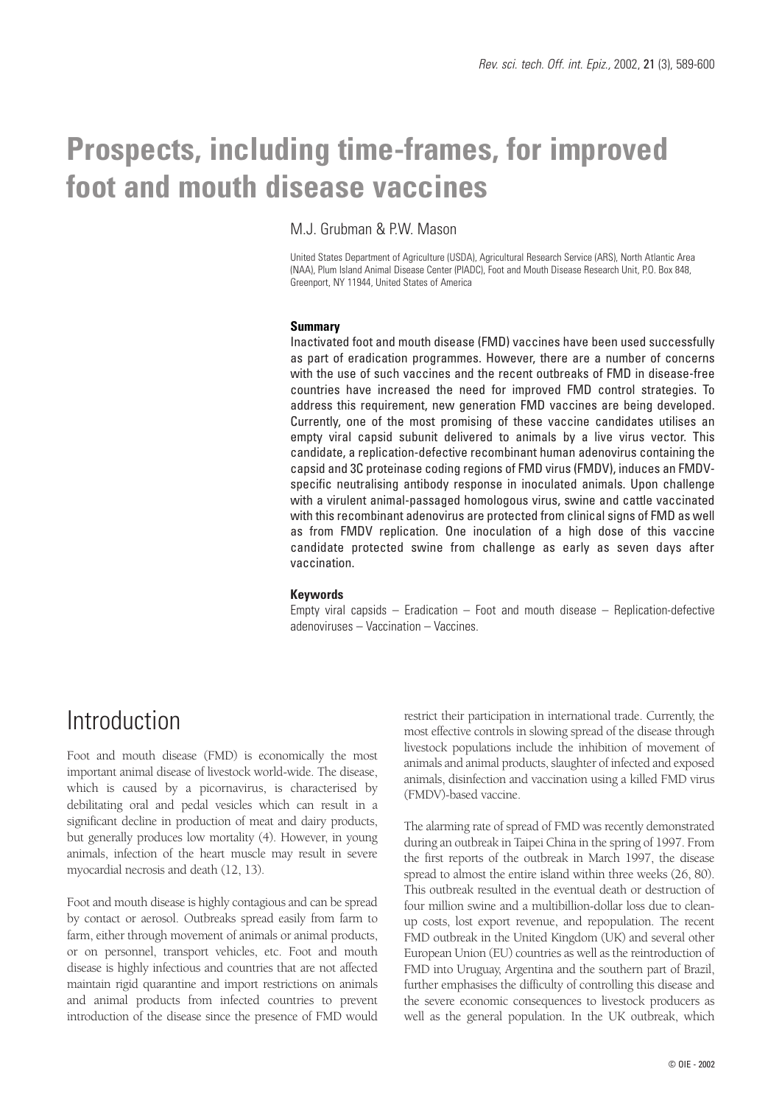# **Prospects, including time-frames, for improved foot and mouth disease vaccines**

### M.I. Grubman & PW, Mason

United States Department of Agriculture (USDA), Agricultural Research Service (ARS), North Atlantic Area (NAA), Plum Island Animal Disease Center (PIADC), Foot and Mouth Disease Research Unit, P.O. Box 848, Greenport, NY 11944, United States of America

### **Summary**

Inactivated foot and mouth disease (FMD) vaccines have been used successfully as part of eradication programmes. However, there are a number of concerns with the use of such vaccines and the recent outbreaks of FMD in disease-free countries have increased the need for improved FMD control strategies. To address this requirement, new generation FMD vaccines are being developed. Currently, one of the most promising of these vaccine candidates utilises an empty viral capsid subunit delivered to animals by a live virus vector. This candidate, a replication-defective recombinant human adenovirus containing the capsid and 3C proteinase coding regions of FMD virus (FMDV), induces an FMDVspecific neutralising antibody response in inoculated animals. Upon challenge with a virulent animal-passaged homologous virus, swine and cattle vaccinated with this recombinant adenovirus are protected from clinical signs of FMD as well as from FMDV replication. One inoculation of a high dose of this vaccine candidate protected swine from challenge as early as seven days after vaccination.

### **Keywords**

Empty viral capsids  $-$  Eradication  $-$  Foot and mouth disease  $-$  Replication-defective adenoviruses – Vaccination – Vaccines.

## Introduction

Foot and mouth disease (FMD) is economically the most important animal disease of livestock world-wide. The disease, which is caused by a picornavirus, is characterised by debilitating oral and pedal vesicles which can result in a significant decline in production of meat and dairy products, but generally produces low mortality (4). However, in young animals, infection of the heart muscle may result in severe myocardial necrosis and death (12, 13).

Foot and mouth disease is highly contagious and can be spread by contact or aerosol. Outbreaks spread easily from farm to farm, either through movement of animals or animal products, or on personnel, transport vehicles, etc. Foot and mouth disease is highly infectious and countries that are not affected maintain rigid quarantine and import restrictions on animals and animal products from infected countries to prevent introduction of the disease since the presence of FMD would

restrict their participation in international trade. Currently, the most effective controls in slowing spread of the disease through livestock populations include the inhibition of movement of animals and animal products, slaughter of infected and exposed animals, disinfection and vaccination using a killed FMD virus (FMDV)-based vaccine.

The alarming rate of spread of FMD was recently demonstrated during an outbreak in Taipei China in the spring of 1997. From the first reports of the outbreak in March 1997, the disease spread to almost the entire island within three weeks (26, 80). This outbreak resulted in the eventual death or destruction of four million swine and a multibillion-dollar loss due to cleanup costs, lost export revenue, and repopulation. The recent FMD outbreak in the United Kingdom (UK) and several other European Union (EU) countries as well as the reintroduction of FMD into Uruguay, Argentina and the southern part of Brazil, further emphasises the difficulty of controlling this disease and the severe economic consequences to livestock producers as well as the general population. In the UK outbreak, which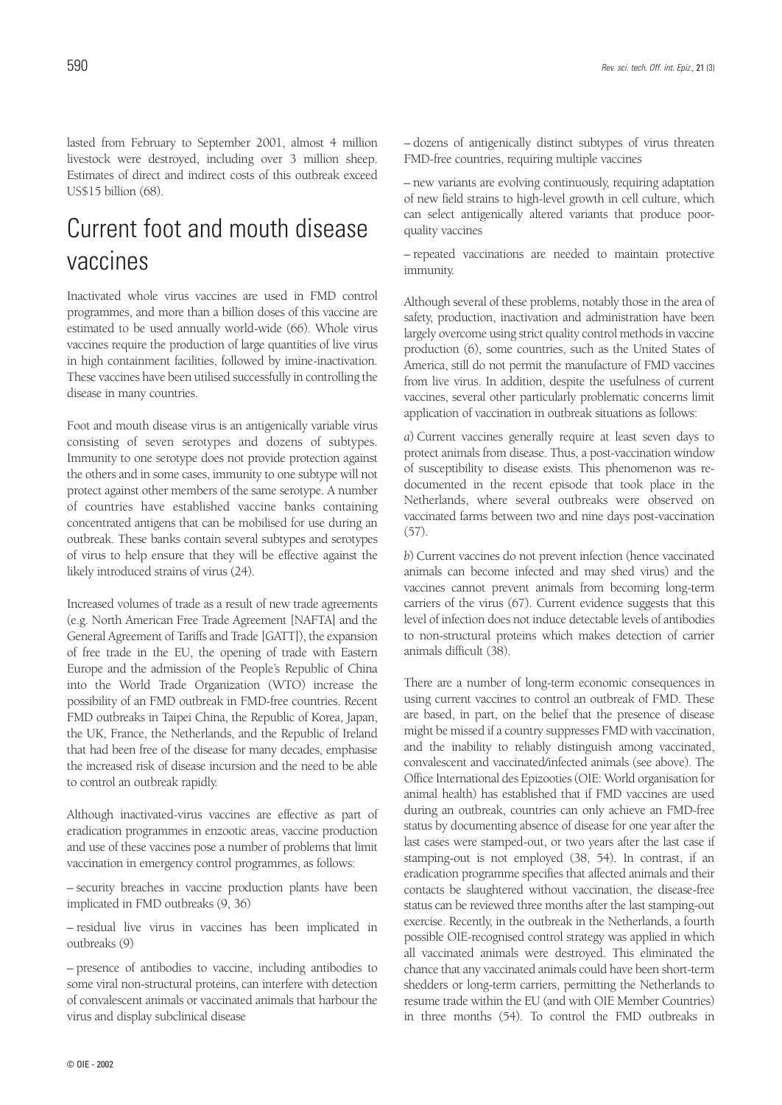lasted from February to September 2001, almost 4 million livestock were destroyed, including over 3 million sheep. Estimates of direct and indirect costs of this outbreak exceed US\$15 billion (68).

### Current foot and mouth disease vaccines

Inactivated whole virus vaccines are used in FMD control programmes, and more than a billion doses of this vaccine are estimated to be used annually world-wide (66). Whole virus vaccines require the production of large quantities of live virus in high containment facilities, followed by imine-inactivation. These vaccines have been utilised successfully in controlling the disease in many countries.

Foot and mouth disease virus is an antigenically variable virus consisting of seven serotypes and dozens of subtypes. Immunity to one serotype does not provide protection against the others and in some cases, immunity to one subtype will not protect against other members of the same serotype. A number of countries have established vaccine banks containing concentrated antigens that can be mobilised for use during an outbreak. These banks contain several subtypes and serotypes of virus to help ensure that they will be effective against the likely introduced strains of virus (24).

Increased volumes of trade as a result of new trade agreements (e.g. North American Free Trade Agreement [NAFTA] and the General Agreement of Tariffs and Trade [GATT]), the expansion of free trade in the EU, the opening of trade with Eastern Europe and the admission of the People's Republic of China into the World Trade Organization (WTO) increase the possibility of an FMD outbreak in FMD-free countries. Recent FMD outbreaks in Taipei China, the Republic of Korea, Japan, the UK, France, the Netherlands, and the Republic of Ireland that had been free of the disease for many decades, emphasise the increased risk of disease incursion and the need to be able to control an outbreak rapidly.

Although inactivated-virus vaccines are effective as part of eradication programmes in enzootic areas, vaccine production and use of these vaccines pose a number of problems that limit vaccination in emergency control programmes, as follows:

– security breaches in vaccine production plants have been implicated in FMD outbreaks (9, 36)

– residual live virus in vaccines has been implicated in outbreaks (9)

– presence of antibodies to vaccine, including antibodies to some viral non-structural proteins, can interfere with detection of convalescent animals or vaccinated animals that harbour the virus and display subclinical disease

– dozens of antigenically distinct subtypes of virus threaten FMD-free countries, requiring multiple vaccines

– new variants are evolving continuously, requiring adaptation of new field strains to high-level growth in cell culture, which can select antigenically altered variants that produce poorquality vaccines

– repeated vaccinations are needed to maintain protective immunity.

Although several of these problems, notably those in the area of safety, production, inactivation and administration have been largely overcome using strict quality control methods in vaccine production (6), some countries, such as the United States of America, still do not permit the manufacture of FMD vaccines from live virus. In addition, despite the usefulness of current vaccines, several other particularly problematic concerns limit application of vaccination in outbreak situations as follows:

*a*) Current vaccines generally require at least seven days to protect animals from disease. Thus, a post-vaccination window of susceptibility to disease exists. This phenomenon was redocumented in the recent episode that took place in the Netherlands, where several outbreaks were observed on vaccinated farms between two and nine days post-vaccination (57).

*b*) Current vaccines do not prevent infection (hence vaccinated animals can become infected and may shed virus) and the vaccines cannot prevent animals from becoming long-term carriers of the virus (67). Current evidence suggests that this level of infection does not induce detectable levels of antibodies to non-structural proteins which makes detection of carrier animals difficult (38).

There are a number of long-term economic consequences in using current vaccines to control an outbreak of FMD. These are based, in part, on the belief that the presence of disease might be missed if a country suppresses FMD with vaccination, and the inability to reliably distinguish among vaccinated, convalescent and vaccinated/infected animals (see above). The Office International des Epizooties (OIE: World organisation for animal health) has established that if FMD vaccines are used during an outbreak, countries can only achieve an FMD-free status by documenting absence of disease for one year after the last cases were stamped-out, or two years after the last case if stamping-out is not employed (38, 54). In contrast, if an eradication programme specifies that affected animals and their contacts be slaughtered without vaccination, the disease-free status can be reviewed three months after the last stamping-out exercise. Recently, in the outbreak in the Netherlands, a fourth possible OIE-recognised control strategy was applied in which all vaccinated animals were destroyed. This eliminated the chance that any vaccinated animals could have been short-term shedders or long-term carriers, permitting the Netherlands to resume trade within the EU (and with OIE Member Countries) in three months (54). To control the FMD outbreaks in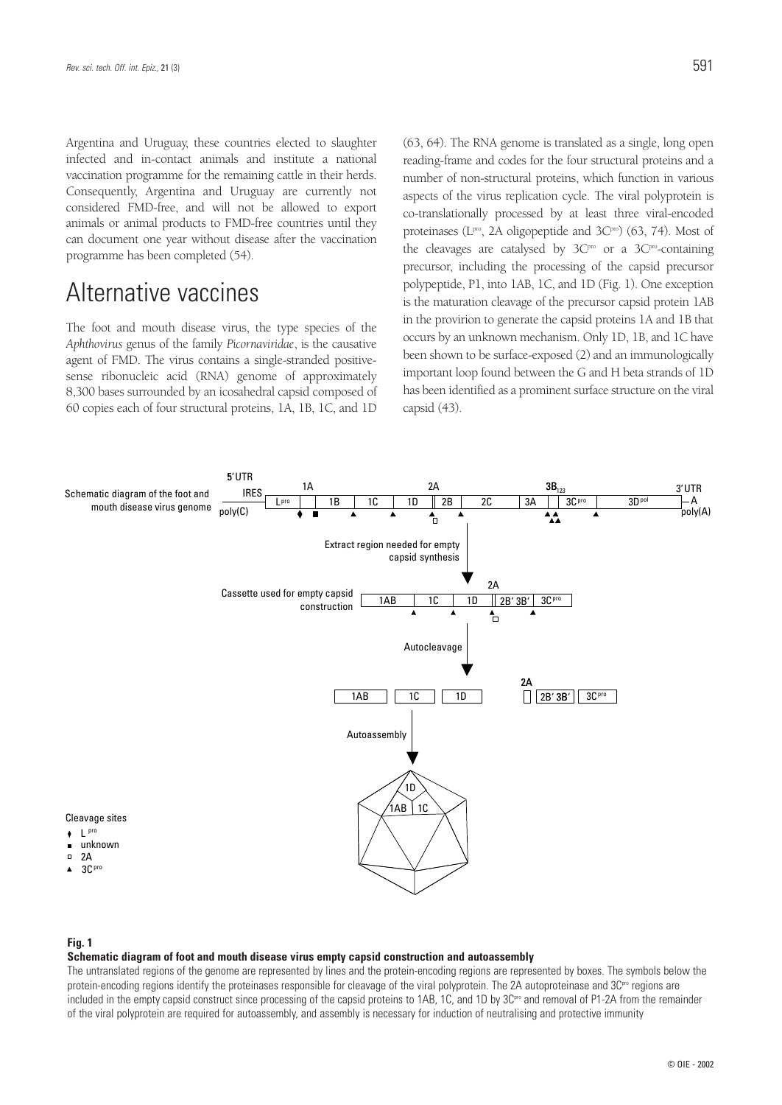Argentina and Uruguay, these countries elected to slaughter infected and in-contact animals and institute a national vaccination programme for the remaining cattle in their herds. Consequently, Argentina and Uruguay are currently not considered FMD-free, and will not be allowed to export animals or animal products to FMD-free countries until they can document one year without disease after the vaccination programme has been completed (54).

## Alternative vaccines

The foot and mouth disease virus, the type species of the *Aphthovirus* genus of the family *Picornaviridae*, is the causative agent of FMD. The virus contains a single-stranded positivesense ribonucleic acid (RNA) genome of approximately 8,300 bases surrounded by an icosahedral capsid composed of 60 copies each of four structural proteins, 1A, 1B, 1C, and 1D (63, 64). The RNA genome is translated as a single, long open reading-frame and codes for the four structural proteins and a number of non-structural proteins, which function in various aspects of the virus replication cycle. The viral polyprotein is co-translationally processed by at least three viral-encoded proteinases ( $L^{pw}$ , 2A oligopeptide and  $3C^{po}$ ) (63, 74). Most of the cleavages are catalysed by  $3C^{\text{pro}}$  or a  $3C^{\text{pro}}$ -containing precursor, including the processing of the capsid precursor polypeptide, P1, into 1AB, 1C, and 1D (Fig. 1). One exception is the maturation cleavage of the precursor capsid protein 1AB in the provirion to generate the capsid proteins 1A and 1B that occurs by an unknown mechanism. Only 1D, 1B, and 1C have been shown to be surface-exposed (2) and an immunologically important loop found between the G and H beta strands of 1D has been identified as a prominent surface structure on the viral capsid (43).



### **Fig. 1**

#### **Schematic diagram of foot and mouth disease virus empty capsid construction and autoassembly**

The untranslated regions of the genome are represented by lines and the protein-encoding regions are represented by boxes. The symbols below the protein-encoding regions identify the proteinases responsible for cleavage of the viral polyprotein. The 2A autoproteinase and 3C<sup>pro</sup> regions are included in the empty capsid construct since processing of the capsid proteins to 1AB, 1C, and 1D by 3C<sup>pro</sup> and removal of P1-2A from the remainder of the viral polyprotein are required for autoassembly, and assembly is necessary for induction of neutralising and protective immunity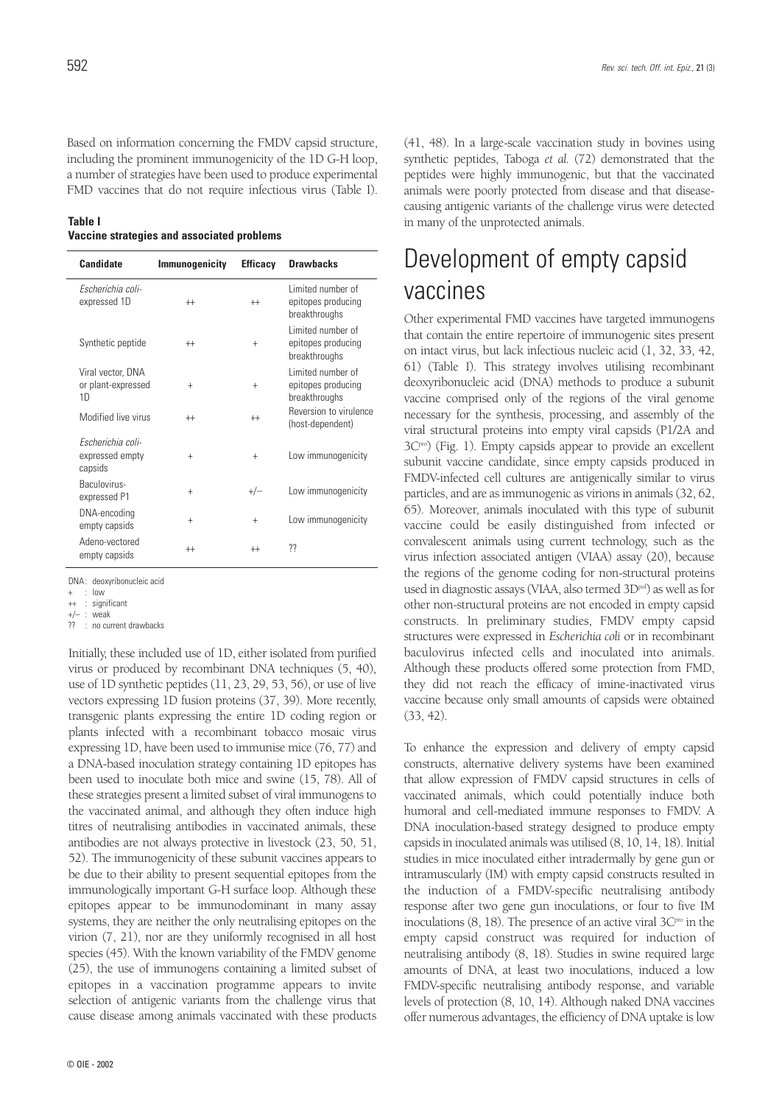Based on information concerning the FMDV capsid structure, including the prominent immunogenicity of the 1D G-H loop, a number of strategies have been used to produce experimental FMD vaccines that do not require infectious virus (Table I).

#### **Table I Vaccine strategies and associated problems**

| Candidate                                                 | <b>Immunogenicity</b> | <b>Efficacy</b> | <b>Drawbacks</b>                                         |
|-----------------------------------------------------------|-----------------------|-----------------|----------------------------------------------------------|
| Escherichia coli-<br>expressed 1D                         | $^{++}$               | $^{++}$         | Limited number of<br>epitopes producing<br>breakthroughs |
| Synthetic peptide                                         | $^{++}$               | $+$             | Limited number of<br>epitopes producing<br>breakthroughs |
| Viral vector, DNA<br>or plant-expressed<br>1 <sub>D</sub> | $^{+}$                | $+$             | Limited number of<br>epitopes producing<br>breakthroughs |
| Modified live virus                                       | $^{++}$               | $^{++}$         | Reversion to virulence<br>(host-dependent)               |
| Escherichia coli-<br>expressed empty<br>capsids           | $+$                   | $+$             | Low immunogenicity                                       |
| Baculovirus-<br>expressed P1                              | $^{+}$                | $+/-$           | Low immunogenicity                                       |
| DNA-encoding<br>empty capsids                             | $+$                   | $^{+}$          | Low immunogenicity                                       |
| Adeno-vectored<br>empty capsids                           | $^{++}$               | $^{++}$         | ??                                                       |

DNA: deoxyribonucleic acid

+/– : weak ?? : no current drawbacks

Initially, these included use of 1D, either isolated from purified virus or produced by recombinant DNA techniques (5, 40), use of 1D synthetic peptides (11, 23, 29, 53, 56), or use of live vectors expressing 1D fusion proteins (37, 39). More recently, transgenic plants expressing the entire 1D coding region or plants infected with a recombinant tobacco mosaic virus expressing 1D, have been used to immunise mice (76, 77) and a DNA-based inoculation strategy containing 1D epitopes has been used to inoculate both mice and swine (15, 78). All of these strategies present a limited subset of viral immunogens to the vaccinated animal, and although they often induce high titres of neutralising antibodies in vaccinated animals, these antibodies are not always protective in livestock (23, 50, 51, 52). The immunogenicity of these subunit vaccines appears to be due to their ability to present sequential epitopes from the immunologically important G-H surface loop. Although these epitopes appear to be immunodominant in many assay systems, they are neither the only neutralising epitopes on the virion (7, 21), nor are they uniformly recognised in all host species (45). With the known variability of the FMDV genome (25), the use of immunogens containing a limited subset of epitopes in a vaccination programme appears to invite selection of antigenic variants from the challenge virus that cause disease among animals vaccinated with these products (41, 48). In a large-scale vaccination study in bovines using synthetic peptides, Taboga *et al.* (72) demonstrated that the peptides were highly immunogenic, but that the vaccinated animals were poorly protected from disease and that diseasecausing antigenic variants of the challenge virus were detected in many of the unprotected animals.

## Development of empty capsid vaccines

Other experimental FMD vaccines have targeted immunogens that contain the entire repertoire of immunogenic sites present on intact virus, but lack infectious nucleic acid (1, 32, 33, 42, 61) (Table I). This strategy involves utilising recombinant deoxyribonucleic acid (DNA) methods to produce a subunit vaccine comprised only of the regions of the viral genome necessary for the synthesis, processing, and assembly of the viral structural proteins into empty viral capsids (P1/2A and 3Cpro) (Fig. 1). Empty capsids appear to provide an excellent subunit vaccine candidate, since empty capsids produced in FMDV-infected cell cultures are antigenically similar to virus particles, and are as immunogenic as virions in animals (32, 62, 65). Moreover, animals inoculated with this type of subunit vaccine could be easily distinguished from infected or convalescent animals using current technology, such as the virus infection associated antigen (VIAA) assay (20), because the regions of the genome coding for non-structural proteins used in diagnostic assays (VIAA, also termed 3Dpol) as well as for other non-structural proteins are not encoded in empty capsid constructs. In preliminary studies, FMDV empty capsid structures were expressed in *Escherichia coli* or in recombinant baculovirus infected cells and inoculated into animals. Although these products offered some protection from FMD, they did not reach the efficacy of imine-inactivated virus vaccine because only small amounts of capsids were obtained (33, 42).

To enhance the expression and delivery of empty capsid constructs, alternative delivery systems have been examined that allow expression of FMDV capsid structures in cells of vaccinated animals, which could potentially induce both humoral and cell-mediated immune responses to FMDV. A DNA inoculation-based strategy designed to produce empty capsids in inoculated animals was utilised (8, 10, 14, 18). Initial studies in mice inoculated either intradermally by gene gun or intramuscularly (IM) with empty capsid constructs resulted in the induction of a FMDV-specific neutralising antibody response after two gene gun inoculations, or four to five IM inoculations  $(8, 18)$ . The presence of an active viral  $3C<sup>pro</sup>$  in the empty capsid construct was required for induction of neutralising antibody (8, 18). Studies in swine required large amounts of DNA, at least two inoculations, induced a low FMDV-specific neutralising antibody response, and variable levels of protection (8, 10, 14). Although naked DNA vaccines offer numerous advantages, the efficiency of DNA uptake is low

<sup>+ :</sup> low

<sup>++ :</sup> significant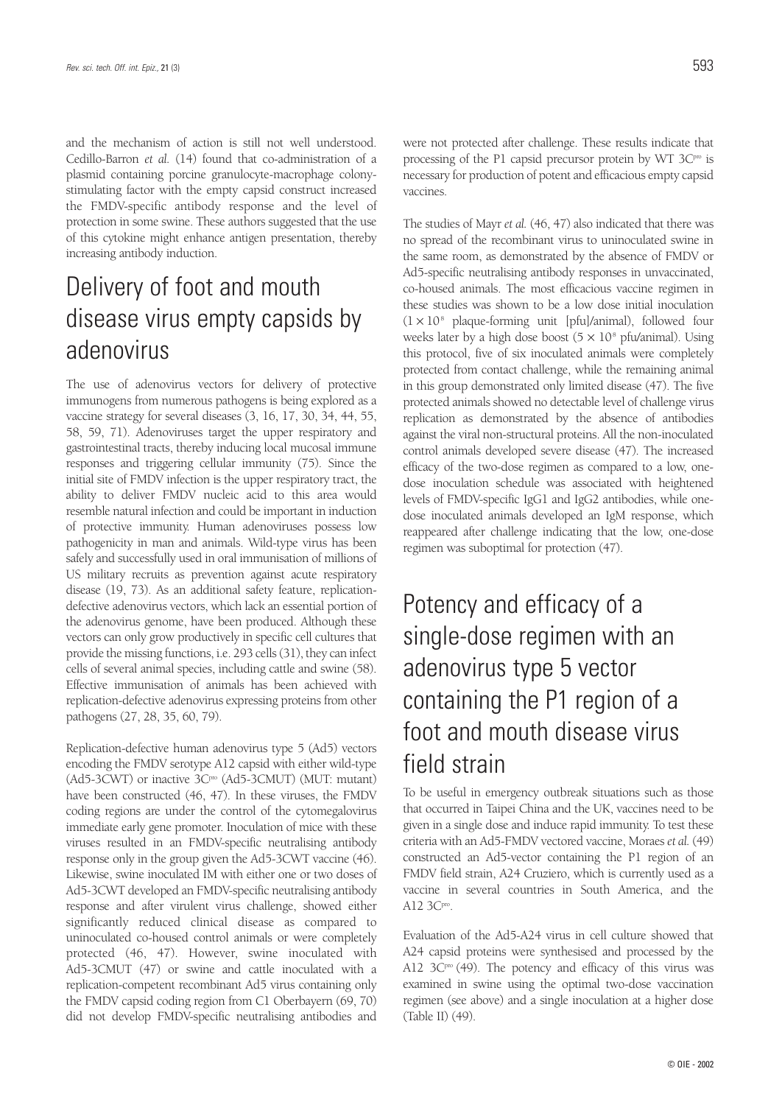and the mechanism of action is still not well understood. Cedillo-Barron *et al.* (14) found that co-administration of a plasmid containing porcine granulocyte-macrophage colonystimulating factor with the empty capsid construct increased the FMDV-specific antibody response and the level of protection in some swine. These authors suggested that the use of this cytokine might enhance antigen presentation, thereby increasing antibody induction.

## Delivery of foot and mouth disease virus empty capsids by adenovirus

The use of adenovirus vectors for delivery of protective immunogens from numerous pathogens is being explored as a vaccine strategy for several diseases (3, 16, 17, 30, 34, 44, 55, 58, 59, 71). Adenoviruses target the upper respiratory and gastrointestinal tracts, thereby inducing local mucosal immune responses and triggering cellular immunity (75). Since the initial site of FMDV infection is the upper respiratory tract, the ability to deliver FMDV nucleic acid to this area would resemble natural infection and could be important in induction of protective immunity. Human adenoviruses possess low pathogenicity in man and animals. Wild-type virus has been safely and successfully used in oral immunisation of millions of US military recruits as prevention against acute respiratory disease (19, 73). As an additional safety feature, replicationdefective adenovirus vectors, which lack an essential portion of the adenovirus genome, have been produced. Although these vectors can only grow productively in specific cell cultures that provide the missing functions, i.e. 293 cells (31), they can infect cells of several animal species, including cattle and swine (58). Effective immunisation of animals has been achieved with replication-defective adenovirus expressing proteins from other pathogens (27, 28, 35, 60, 79).

Replication-defective human adenovirus type 5 (Ad5) vectors encoding the FMDV serotype A12 capsid with either wild-type (Ad5-3CWT) or inactive 3C<sup>pro</sup> (Ad5-3CMUT) (MUT: mutant) have been constructed (46, 47). In these viruses, the FMDV coding regions are under the control of the cytomegalovirus immediate early gene promoter. Inoculation of mice with these viruses resulted in an FMDV-specific neutralising antibody response only in the group given the Ad5-3CWT vaccine (46). Likewise, swine inoculated IM with either one or two doses of Ad5-3CWT developed an FMDV-specific neutralising antibody response and after virulent virus challenge, showed either significantly reduced clinical disease as compared to uninoculated co-housed control animals or were completely protected (46, 47). However, swine inoculated with Ad5-3CMUT (47) or swine and cattle inoculated with a replication-competent recombinant Ad5 virus containing only the FMDV capsid coding region from C1 Oberbayern (69, 70) did not develop FMDV-specific neutralising antibodies and

were not protected after challenge. These results indicate that processing of the P1 capsid precursor protein by WT 3Cpro is necessary for production of potent and efficacious empty capsid vaccines.

The studies of Mayr *et al.* (46, 47) also indicated that there was no spread of the recombinant virus to uninoculated swine in the same room, as demonstrated by the absence of FMDV or Ad5-specific neutralising antibody responses in unvaccinated, co-housed animals. The most efficacious vaccine regimen in these studies was shown to be a low dose initial inoculation  $(1 \times 10^8)$  plaque-forming unit [pfu]/animal), followed four weeks later by a high dose boost  $(5 \times 10^8 \text{ pfu/animal})$ . Using this protocol, five of six inoculated animals were completely protected from contact challenge, while the remaining animal in this group demonstrated only limited disease (47). The five protected animals showed no detectable level of challenge virus replication as demonstrated by the absence of antibodies against the viral non-structural proteins. All the non-inoculated control animals developed severe disease (47). The increased efficacy of the two-dose regimen as compared to a low, onedose inoculation schedule was associated with heightened levels of FMDV-specific IgG1 and IgG2 antibodies, while onedose inoculated animals developed an IgM response, which reappeared after challenge indicating that the low, one-dose regimen was suboptimal for protection (47).

# Potency and efficacy of a single-dose regimen with an adenovirus type 5 vector containing the P1 region of a foot and mouth disease virus field strain

To be useful in emergency outbreak situations such as those that occurred in Taipei China and the UK, vaccines need to be given in a single dose and induce rapid immunity. To test these criteria with an Ad5-FMDV vectored vaccine, Moraes *et al.* (49) constructed an Ad5-vector containing the P1 region of an FMDV field strain, A24 Cruziero, which is currently used as a vaccine in several countries in South America, and the A12 3Cpro.

Evaluation of the Ad5-A24 virus in cell culture showed that A24 capsid proteins were synthesised and processed by the A12  $3C^{\text{pro}}$  (49). The potency and efficacy of this virus was examined in swine using the optimal two-dose vaccination regimen (see above) and a single inoculation at a higher dose (Table II) (49).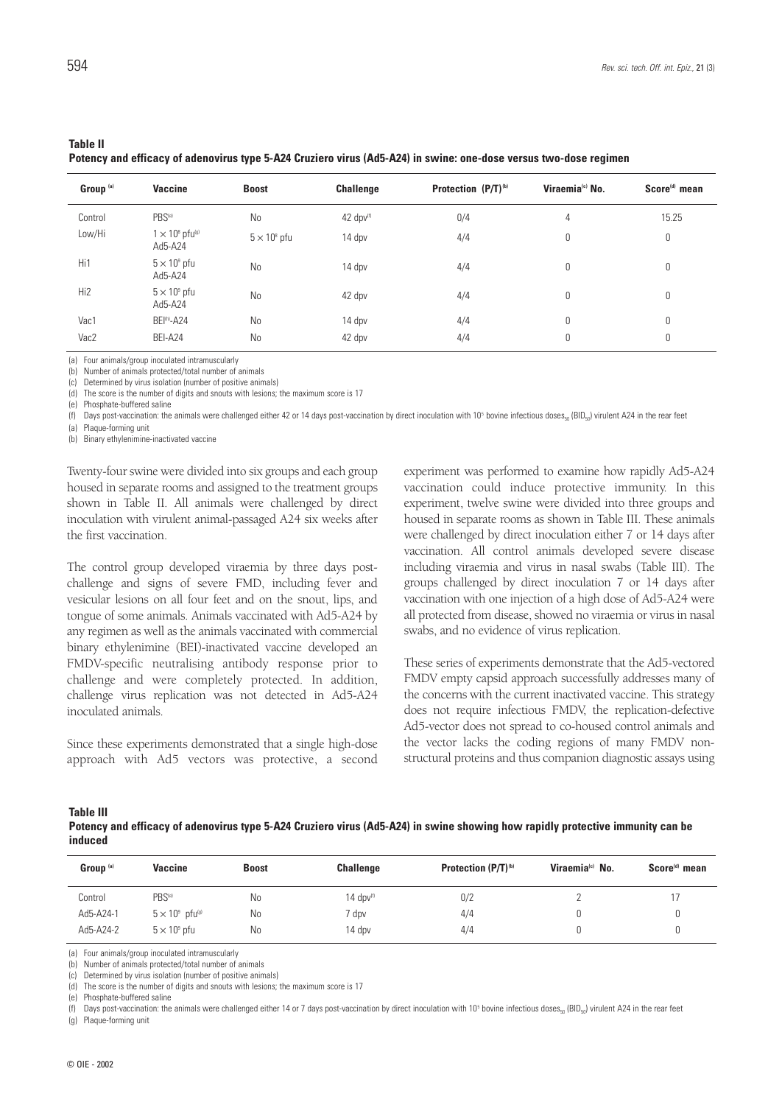### **Table II**

**Potency and efficacy of adenovirus type 5-A24 Cruziero virus (Ad5-A24) in swine: one-dose versus two-dose regimen**

| Group <sup>(a)</sup> | Vaccine                                       | <b>Boost</b>        | <b>Challenge</b>      | Protection (P/T) <sup>(b)</sup> | Viraemia® No. | Score <sup>(d)</sup> mean |
|----------------------|-----------------------------------------------|---------------------|-----------------------|---------------------------------|---------------|---------------------------|
| Control              | PBS <sup>(e)</sup>                            | N <sub>0</sub>      | 42 dpv <sup>(f)</sup> | 0/4                             | 4             | 15.25                     |
| Low/Hi               | $1 \times 10^8$ pfu <sup>(g)</sup><br>Ad5-A24 | $5 \times 10^8$ pfu | 14 dpv                | 4/4                             | 0             | $\mathbf 0$               |
| Hi1                  | $5 \times 10^9$ pfu<br>Ad5-A24                | <b>No</b>           | 14 dpv                | 4/4                             | 0             | 0                         |
| Hi <sub>2</sub>      | $5 \times 10^9$ pfu<br>Ad5-A24                | <b>No</b>           | 42 dpv                | 4/4                             | 0             | 0                         |
| Vac1                 | <b>BEI<sup>(h)</sup>-A24</b>                  | <b>No</b>           | 14 dpv                | 4/4                             | 0             | 0                         |
| Vac2                 | BEI-A24                                       | N <sub>0</sub>      | 42 dpv                | 4/4                             | 0             | 0                         |

(a) Four animals/group inoculated intramuscularly

(b) Number of animals protected/total number of animals

Determined by virus isolation (number of positive animals)

The score is the number of digits and snouts with lesions; the maximum score is 17

Phosphate-buffered saline

(f) Days post-vaccination: the animals were challenged either 42 or 14 days post-vaccination by direct inoculation with  $10^5$  bovine infectious doses<sub>50</sub> (BID<sub>50</sub>) virulent A24 in the rear feet

(a) Plaque-forming unit

(b) Binary ethylenimine-inactivated vaccine

Twenty-four swine were divided into six groups and each group housed in separate rooms and assigned to the treatment groups shown in Table II. All animals were challenged by direct inoculation with virulent animal-passaged A24 six weeks after the first vaccination.

The control group developed viraemia by three days postchallenge and signs of severe FMD, including fever and vesicular lesions on all four feet and on the snout, lips, and tongue of some animals. Animals vaccinated with Ad5-A24 by any regimen as well as the animals vaccinated with commercial binary ethylenimine (BEI)-inactivated vaccine developed an FMDV-specific neutralising antibody response prior to challenge and were completely protected. In addition, challenge virus replication was not detected in Ad5-A24 inoculated animals.

Since these experiments demonstrated that a single high-dose approach with Ad5 vectors was protective, a second experiment was performed to examine how rapidly Ad5-A24 vaccination could induce protective immunity. In this experiment, twelve swine were divided into three groups and housed in separate rooms as shown in Table III. These animals were challenged by direct inoculation either 7 or 14 days after vaccination. All control animals developed severe disease including viraemia and virus in nasal swabs (Table III). The groups challenged by direct inoculation 7 or 14 days after vaccination with one injection of a high dose of Ad5-A24 were all protected from disease, showed no viraemia or virus in nasal swabs, and no evidence of virus replication.

These series of experiments demonstrate that the Ad5-vectored FMDV empty capsid approach successfully addresses many of the concerns with the current inactivated vaccine. This strategy does not require infectious FMDV, the replication-defective Ad5-vector does not spread to co-housed control animals and the vector lacks the coding regions of many FMDV nonstructural proteins and thus companion diagnostic assays using

#### **Table III**

**Potency and efficacy of adenovirus type 5-A24 Cruziero virus (Ad5-A24) in swine showing how rapidly protective immunity can be induced**

| Group <sup>(a)</sup> | Vaccine                           | <b>Boost</b> | <b>Challenge</b> | Protection (P/T) <sup>(b)</sup> | Viraemia <sup>(c)</sup> No. | Score <sup>(d)</sup> mean |
|----------------------|-----------------------------------|--------------|------------------|---------------------------------|-----------------------------|---------------------------|
| Control              | PBS <sup>(e)</sup>                | No           | 14 $dpv(f)$      | 0/2                             |                             |                           |
| Ad5-A24-1            | $5 \times 10^9$ pfu $\frac{q}{q}$ | No           | 7 dpv            | 4/4                             |                             |                           |
| Ad5-A24-2            | $5 \times 10^9$ pfu               | No           | 14 dpv           | 4/4                             |                             |                           |

(a) Four animals/group inoculated intramuscularly

Number of animals protected/total number of animals

Determined by virus isolation (number of positive animals) (d) The score is the number of digits and snouts with lesions; the maximum score is 17

Phosphate-buffered saline

(f) Days post-vaccination: the animals were challenged either 14 or 7 days post-vaccination by direct inoculation with 10<sup>5</sup> bovine infectious doses<sub>50</sub> (BID<sub>50</sub>) virulent A24 in the rear feet (g) Plaque-forming unit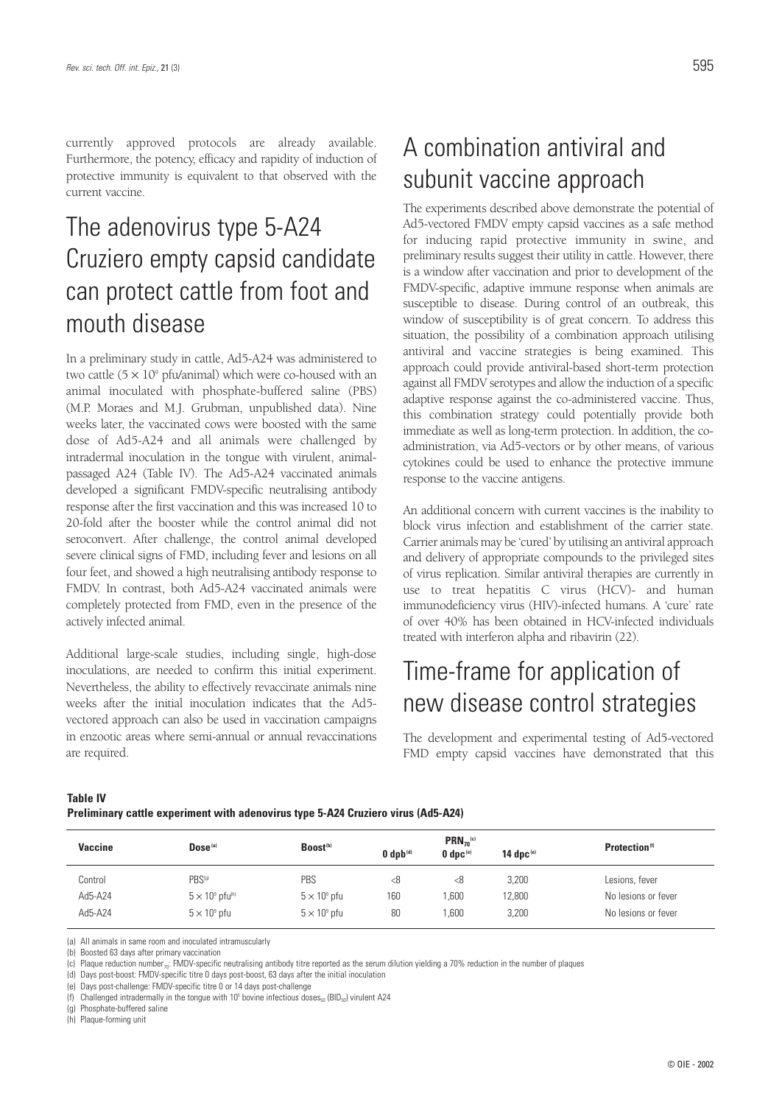currently approved protocols are already available. Furthermore, the potency, efficacy and rapidity of induction of protective immunity is equivalent to that observed with the current vaccine.

## The adenovirus type 5-A24 Cruziero empty capsid candidate can protect cattle from foot and mouth disease

In a preliminary study in cattle, Ad5-A24 was administered to two cattle  $(5 \times 10^9 \text{ pft}$ /animal) which were co-housed with an animal inoculated with phosphate-buffered saline (PBS) (M.P. Moraes and M.J. Grubman, unpublished data). Nine weeks later, the vaccinated cows were boosted with the same dose of Ad5-A24 and all animals were challenged by intradermal inoculation in the tongue with virulent, animalpassaged A24 (Table IV). The Ad5-A24 vaccinated animals developed a significant FMDV-specific neutralising antibody response after the first vaccination and this was increased 10 to 20-fold after the booster while the control animal did not seroconvert. After challenge, the control animal developed severe clinical signs of FMD, including fever and lesions on all four feet, and showed a high neutralising antibody response to FMDV. In contrast, both Ad5-A24 vaccinated animals were completely protected from FMD, even in the presence of the actively infected animal.

Additional large-scale studies, including single, high-dose inoculations, are needed to confirm this initial experiment. Nevertheless, the ability to effectively revaccinate animals nine weeks after the initial inoculation indicates that the Ad5 vectored approach can also be used in vaccination campaigns in enzootic areas where semi-annual or annual revaccinations are required.

# A combination antiviral and subunit vaccine approach

The experiments described above demonstrate the potential of Ad5-vectored FMDV empty capsid vaccines as a safe method for inducing rapid protective immunity in swine, and preliminary results suggest their utility in cattle. However, there is a window after vaccination and prior to development of the FMDV-specific, adaptive immune response when animals are susceptible to disease. During control of an outbreak, this window of susceptibility is of great concern. To address this situation, the possibility of a combination approach utilising antiviral and vaccine strategies is being examined. This approach could provide antiviral-based short-term protection against all FMDV serotypes and allow the induction of a specific adaptive response against the co-administered vaccine. Thus, this combination strategy could potentially provide both immediate as well as long-term protection. In addition, the coadministration, via Ad5-vectors or by other means, of various cytokines could be used to enhance the protective immune response to the vaccine antigens.

An additional concern with current vaccines is the inability to block virus infection and establishment of the carrier state. Carrier animals may be 'cured' by utilising an antiviral approach and delivery of appropriate compounds to the privileged sites of virus replication. Similar antiviral therapies are currently in use to treat hepatitis C virus (HCV)- and human immunodeficiency virus (HIV)-infected humans. A 'cure' rate of over 40% has been obtained in HCV-infected individuals treated with interferon alpha and ribavirin (22).

## Time-frame for application of new disease control strategies

The development and experimental testing of Ad5-vectored FMD empty capsid vaccines have demonstrated that this

#### **Table IV**

**Preliminary cattle experiment with adenovirus type 5-A24 Cruziero virus (Ad5-A24)**

| Vaccine | Dose <sup>(a)</sup>                | Boost <sup>(b)</sup>      | $0$ dpb $(d)$ |                      | 14 dpc $\mathbf{^{(e)}}$ | Protection <sup>(f)</sup> |
|---------|------------------------------------|---------------------------|---------------|----------------------|--------------------------|---------------------------|
| Control | PBS <sup>(g)</sup>                 | PBS                       | < 8           | $0$ dpc $(e)$<br>< 8 | 3,200                    | Lesions, fever            |
| Ad5-A24 | $5 \times 10^9$ pfu <sup>(h)</sup> | $5 \times 10^{\circ}$ pfu | 160           | ,600                 | 12,800                   | No lesions or fever       |
| Ad5-A24 | $5 \times 10^9$ pfu                | $5 \times 10^9$ pfu       | 80            | .600                 | 3,200                    | No lesions or fever       |

(a) All animals in same room and inoculated intramuscularly

(b) Boosted 63 days after primary vaccination

(c) Plaque reduction number<sub>70</sub>: FMDV-specific neutralising antibody titre reported as the serum dilution yielding a 70% reduction in the number of plaques

(d) Days post-boost: FMDV-specific titre 0 days post-boost, 63 days after the initial inoculation

(e) Days post-challenge: FMDV-specific titre 0 or 14 days post-challenge

(f) Challenged intradermally in the tongue with 10<sup>5</sup> bovine infectious doses<sub>50</sub> (BID<sub>50</sub>) virulent A24

(g) Phosphate-buffered saline

(h) Plaque-forming unit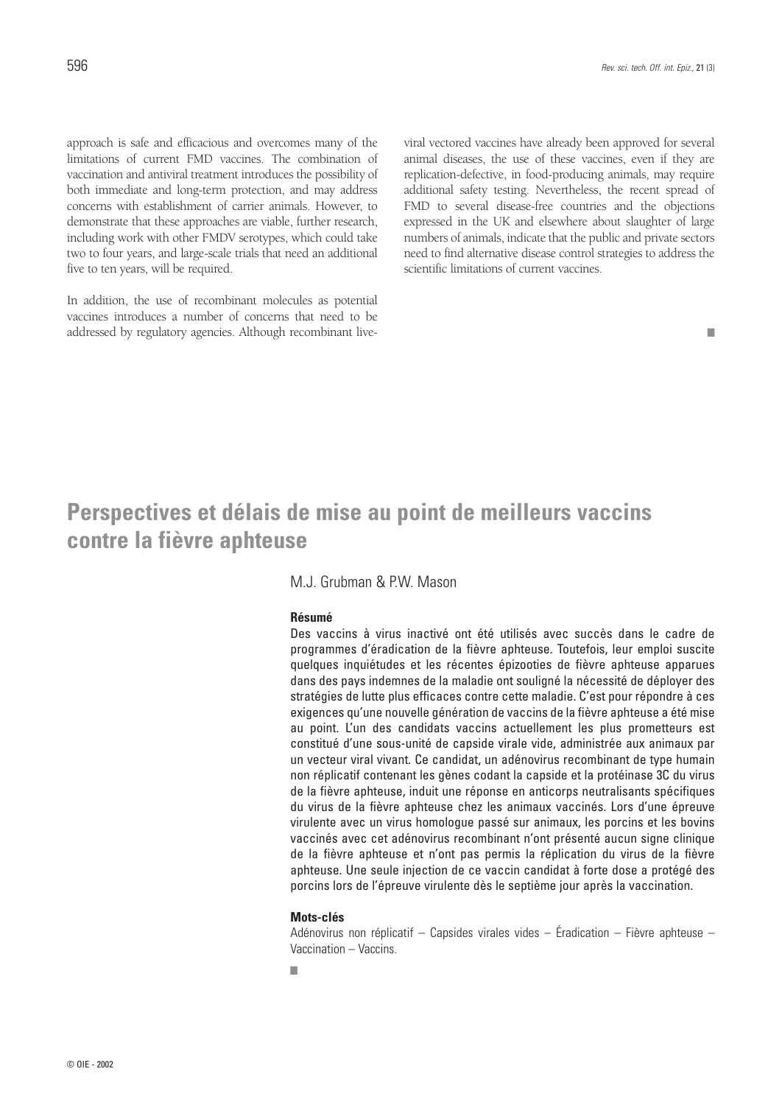approach is safe and efficacious and overcomes many of the limitations of current FMD vaccines. The combination of vaccination and antiviral treatment introduces the possibility of both immediate and long-term protection, and may address concerns with establishment of carrier animals. However, to demonstrate that these approaches are viable, further research, including work with other FMDV serotypes, which could take two to four years, and large-scale trials that need an additional five to ten years, will be required.

In addition, the use of recombinant molecules as potential vaccines introduces a number of concerns that need to be addressed by regulatory agencies. Although recombinant liveviral vectored vaccines have already been approved for several animal diseases, the use of these vaccines, even if they are replication-defective, in food-producing animals, may require additional safety testing. Nevertheless, the recent spread of FMD to several disease-free countries and the objections expressed in the UK and elsewhere about slaughter of large numbers of animals, indicate that the public and private sectors need to find alternative disease control strategies to address the scientific limitations of current vaccines.

#### ■

### **Perspectives et délais de mise au point de meilleurs vaccins contre la fièvre aphteuse**

### M.J. Grubman & PW. Mason

### **Résumé**

Des vaccins à virus inactivé ont été utilisés avec succès dans le cadre de programmes d'éradication de la fièvre aphteuse. Toutefois, leur emploi suscite quelques inquiétudes et les récentes épizooties de fièvre aphteuse apparues dans des pays indemnes de la maladie ont souligné la nécessité de déployer des stratégies de lutte plus efficaces contre cette maladie. C'est pour répondre à ces exigences qu'une nouvelle génération de vaccins de la fièvre aphteuse a été mise au point. L'un des candidats vaccins actuellement les plus prometteurs est constitué d'une sous-unité de capside virale vide, administrée aux animaux par un vecteur viral vivant. Ce candidat, un adénovirus recombinant de type humain non réplicatif contenant les gènes codant la capside et la protéinase 3C du virus de la fièvre aphteuse, induit une réponse en anticorps neutralisants spécifiques du virus de la fièvre aphteuse chez les animaux vaccinés. Lors d'une épreuve virulente avec un virus homologue passé sur animaux, les porcins et les bovins vaccinés avec cet adénovirus recombinant n'ont présenté aucun signe clinique de la fièvre aphteuse et n'ont pas permis la réplication du virus de la fièvre aphteuse. Une seule injection de ce vaccin candidat à forte dose a protégé des porcins lors de l'épreuve virulente dès le septième jour après la vaccination.

#### **Mots-clés**

Adénovirus non réplicatif – Capsides virales vides – Éradication – Fièvre aphteuse – Vaccination – Vaccins.

■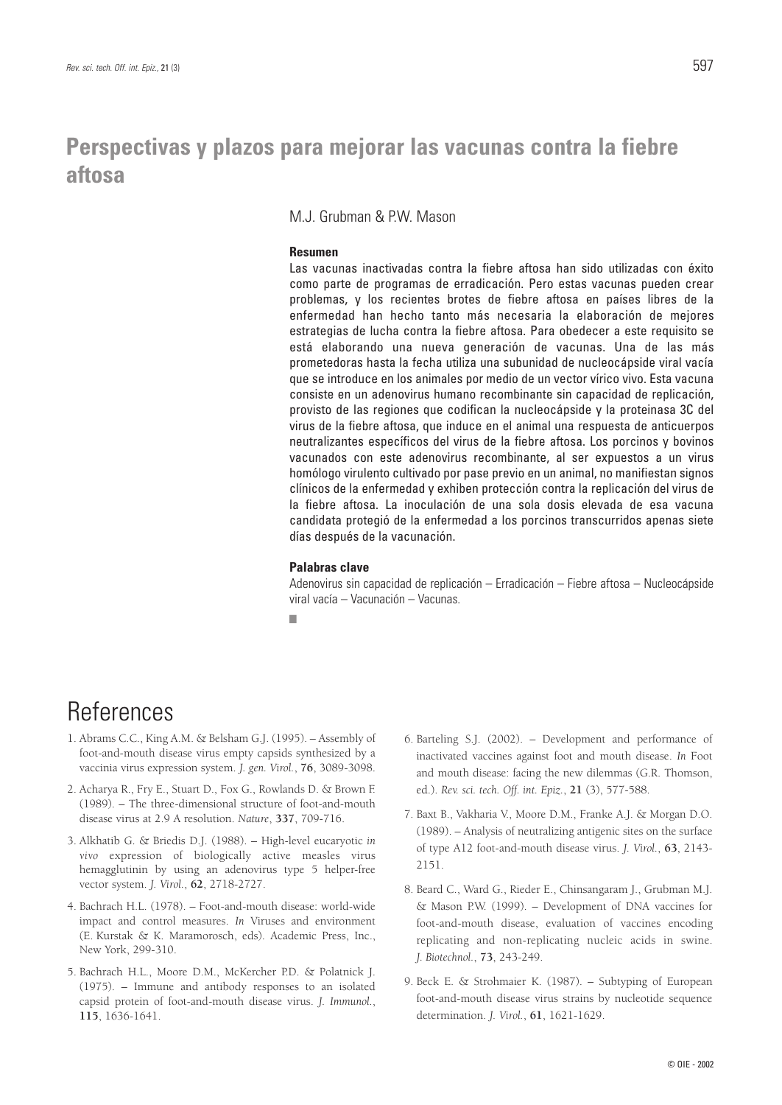## **Perspectivas y plazos para mejorar las vacunas contra la fiebre aftosa**

### M.J. Grubman & P.W. Mason

### **Resumen**

Las vacunas inactivadas contra la fiebre aftosa han sido utilizadas con éxito como parte de programas de erradicación. Pero estas vacunas pueden crear problemas, y los recientes brotes de fiebre aftosa en países libres de la enfermedad han hecho tanto más necesaria la elaboración de mejores estrategias de lucha contra la fiebre aftosa. Para obedecer a este requisito se está elaborando una nueva generación de vacunas. Una de las más prometedoras hasta la fecha utiliza una subunidad de nucleocápside viral vacía que se introduce en los animales por medio de un vector vírico vivo. Esta vacuna consiste en un adenovirus humano recombinante sin capacidad de replicación, provisto de las regiones que codifican la nucleocápside y la proteinasa 3C del virus de la fiebre aftosa, que induce en el animal una respuesta de anticuerpos neutralizantes específicos del virus de la fiebre aftosa. Los porcinos y bovinos vacunados con este adenovirus recombinante, al ser expuestos a un virus homólogo virulento cultivado por pase previo en un animal, no manifiestan signos clínicos de la enfermedad y exhiben protección contra la replicación del virus de la fiebre aftosa. La inoculación de una sola dosis elevada de esa vacuna candidata protegió de la enfermedad a los porcinos transcurridos apenas siete días después de la vacunación.

### **Palabras clave**

Adenovirus sin capacidad de replicación – Erradicación – Fiebre aftosa – Nucleocápside viral vacía – Vacunación – Vacunas.

■

## **References**

- 1. Abrams C.C., King A.M. & Belsham G.J. (1995). Assembly of foot-and-mouth disease virus empty capsids synthesized by a vaccinia virus expression system. *J. gen. Virol.*, **76**, 3089-3098.
- 2. Acharya R., Fry E., Stuart D., Fox G., Rowlands D. & Brown F. (1989). – The three-dimensional structure of foot-and-mouth disease virus at 2.9 A resolution. *Nature*, **337**, 709-716.
- 3. Alkhatib G. & Briedis D.J. (1988). High-level eucaryotic *in vivo* expression of biologically active measles virus hemagglutinin by using an adenovirus type 5 helper-free vector system. *J. Virol.*, **62**, 2718-2727.
- 4. Bachrach H.L. (1978). Foot-and-mouth disease: world-wide impact and control measures. *In* Viruses and environment (E. Kurstak & K. Maramorosch, eds). Academic Press, Inc., New York, 299-310.
- 5. Bachrach H.L., Moore D.M., McKercher P.D. & Polatnick J. (1975). – Immune and antibody responses to an isolated capsid protein of foot-and-mouth disease virus. *J. Immunol.*, **115**, 1636-1641.
- 6. Barteling S.J. (2002). Development and performance of inactivated vaccines against foot and mouth disease. *In* Foot and mouth disease: facing the new dilemmas (G.R. Thomson, ed.). *Rev. sci. tech. Off. int. Epiz.*, **21** (3), 577-588.
- 7. Baxt B., Vakharia V., Moore D.M., Franke A.J. & Morgan D.O. (1989). – Analysis of neutralizing antigenic sites on the surface of type A12 foot-and-mouth disease virus. *J. Virol.*, **63**, 2143- 2151.
- 8. Beard C., Ward G., Rieder E., Chinsangaram J., Grubman M.J. & Mason P.W. (1999). – Development of DNA vaccines for foot-and-mouth disease, evaluation of vaccines encoding replicating and non-replicating nucleic acids in swine. *J. Biotechnol.*, **73**, 243-249.
- 9. Beck E. & Strohmaier K. (1987). Subtyping of European foot-and-mouth disease virus strains by nucleotide sequence determination. *J. Virol.*, **61**, 1621-1629.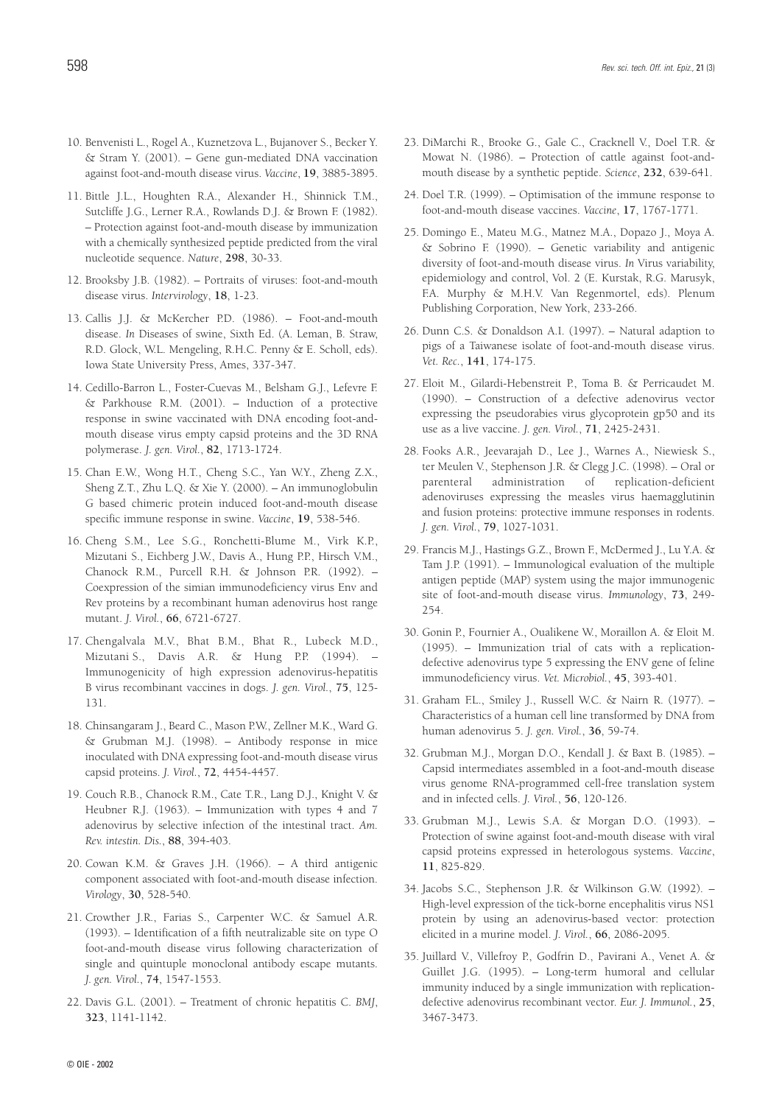- 10. Benvenisti L., Rogel A., Kuznetzova L., Bujanover S., Becker Y. & Stram Y. (2001). – Gene gun-mediated DNA vaccination against foot-and-mouth disease virus. *Vaccine*, **19**, 3885-3895.
- 11. Bittle J.L., Houghten R.A., Alexander H., Shinnick T.M., Sutcliffe J.G., Lerner R.A., Rowlands D.J. & Brown F. (1982). – Protection against foot-and-mouth disease by immunization with a chemically synthesized peptide predicted from the viral nucleotide sequence. *Nature*, **298**, 30-33.
- 12. Brooksby J.B. (1982). Portraits of viruses: foot-and-mouth disease virus. *Intervirology*, **18**, 1-23.
- 13. Callis J.J. & McKercher P.D. (1986). Foot-and-mouth disease. *In* Diseases of swine, Sixth Ed. (A. Leman, B. Straw, R.D. Glock, W.L. Mengeling, R.H.C. Penny & E. Scholl, eds). Iowa State University Press, Ames, 337-347.
- 14. Cedillo-Barron L., Foster-Cuevas M., Belsham G.J., Lefevre F. & Parkhouse R.M. (2001). – Induction of a protective response in swine vaccinated with DNA encoding foot-andmouth disease virus empty capsid proteins and the 3D RNA polymerase. *J. gen. Virol.*, **82**, 1713-1724.
- 15. Chan E.W., Wong H.T., Cheng S.C., Yan W.Y., Zheng Z.X., Sheng Z.T., Zhu L.Q. & Xie Y. (2000). – An immunoglobulin G based chimeric protein induced foot-and-mouth disease specific immune response in swine. *Vaccine*, **19**, 538-546.
- 16. Cheng S.M., Lee S.G., Ronchetti-Blume M., Virk K.P., Mizutani S., Eichberg J.W., Davis A., Hung P.P., Hirsch V.M., Chanock R.M., Purcell R.H. & Johnson P.R. (1992). – Coexpression of the simian immunodeficiency virus Env and Rev proteins by a recombinant human adenovirus host range mutant. *J. Virol.*, **66**, 6721-6727.
- 17. Chengalvala M.V., Bhat B.M., Bhat R., Lubeck M.D., Mizutani S., Davis A.R. & Hung P.P. (1994). – Immunogenicity of high expression adenovirus-hepatitis B virus recombinant vaccines in dogs. *J. gen. Virol.*, **75**, 125- 131.
- 18. Chinsangaram J., Beard C., Mason P.W., Zellner M.K., Ward G. & Grubman M.J. (1998). – Antibody response in mice inoculated with DNA expressing foot-and-mouth disease virus capsid proteins. *J. Virol.*, **72**, 4454-4457.
- 19. Couch R.B., Chanock R.M., Cate T.R., Lang D.J., Knight V. & Heubner R.J. (1963). – Immunization with types 4 and 7 adenovirus by selective infection of the intestinal tract. *Am. Rev. intestin. Dis.*, **88**, 394-403.
- 20. Cowan K.M. & Graves J.H. (1966). A third antigenic component associated with foot-and-mouth disease infection. *Virology*, **30**, 528-540.
- 21. Crowther J.R., Farias S., Carpenter W.C. & Samuel A.R. (1993). – Identification of a fifth neutralizable site on type O foot-and-mouth disease virus following characterization of single and quintuple monoclonal antibody escape mutants. *J. gen. Virol.*, **74**, 1547-1553.
- 22. Davis G.L. (2001). Treatment of chronic hepatitis C. *BMJ*, **323**, 1141-1142.
- 23. DiMarchi R., Brooke G., Gale C., Cracknell V., Doel T.R. & Mowat N. (1986). – Protection of cattle against foot-andmouth disease by a synthetic peptide. *Science*, **232**, 639-641.
- 24. Doel T.R. (1999). Optimisation of the immune response to foot-and-mouth disease vaccines. *Vaccine*, **17**, 1767-1771.
- 25. Domingo E., Mateu M.G., Matnez M.A., Dopazo J., Moya A. & Sobrino F. (1990). – Genetic variability and antigenic diversity of foot-and-mouth disease virus. *In* Virus variability, epidemiology and control, Vol. 2 (E. Kurstak, R.G. Marusyk, F.A. Murphy & M.H.V. Van Regenmortel, eds). Plenum Publishing Corporation, New York, 233-266.
- 26. Dunn C.S. & Donaldson A.I. (1997). Natural adaption to pigs of a Taiwanese isolate of foot-and-mouth disease virus. *Vet. Rec.*, **141**, 174-175.
- 27. Eloit M., Gilardi-Hebenstreit P., Toma B. & Perricaudet M. (1990). – Construction of a defective adenovirus vector expressing the pseudorabies virus glycoprotein gp50 and its use as a live vaccine. *J. gen. Virol.*, **71**, 2425-2431.
- 28. Fooks A.R., Jeevarajah D., Lee J., Warnes A., Niewiesk S., ter Meulen V., Stephenson J.R. & Clegg J.C. (1998). – Oral or parenteral administration of replication-deficient adenoviruses expressing the measles virus haemagglutinin and fusion proteins: protective immune responses in rodents. *J. gen. Virol.*, **79**, 1027-1031.
- 29. Francis M.J., Hastings G.Z., Brown F., McDermed J., Lu Y.A. & Tam J.P. (1991). – Immunological evaluation of the multiple antigen peptide (MAP) system using the major immunogenic site of foot-and-mouth disease virus. *Immunology*, **73**, 249- 254.
- 30. Gonin P., Fournier A., Oualikene W., Moraillon A. & Eloit M. (1995). – Immunization trial of cats with a replicationdefective adenovirus type 5 expressing the ENV gene of feline immunodeficiency virus. *Vet. Microbiol.*, **45**, 393-401.
- 31. Graham F.L., Smiley J., Russell W.C. & Nairn R. (1977). Characteristics of a human cell line transformed by DNA from human adenovirus 5. *J. gen. Virol.*, **36**, 59-74.
- 32. Grubman M.J., Morgan D.O., Kendall J. & Baxt B. (1985). Capsid intermediates assembled in a foot-and-mouth disease virus genome RNA-programmed cell-free translation system and in infected cells. *J. Virol.*, **56**, 120-126.
- 33. Grubman M.J., Lewis S.A. & Morgan D.O. (1993). Protection of swine against foot-and-mouth disease with viral capsid proteins expressed in heterologous systems. *Vaccine*, **11**, 825-829.
- 34. Jacobs S.C., Stephenson J.R. & Wilkinson G.W. (1992). High-level expression of the tick-borne encephalitis virus NS1 protein by using an adenovirus-based vector: protection elicited in a murine model. *J. Virol.*, **66**, 2086-2095.
- 35. Juillard V., Villefroy P., Godfrin D., Pavirani A., Venet A. & Guillet J.G. (1995). – Long-term humoral and cellular immunity induced by a single immunization with replicationdefective adenovirus recombinant vector. *Eur. J. Immunol.*, **25**, 3467-3473.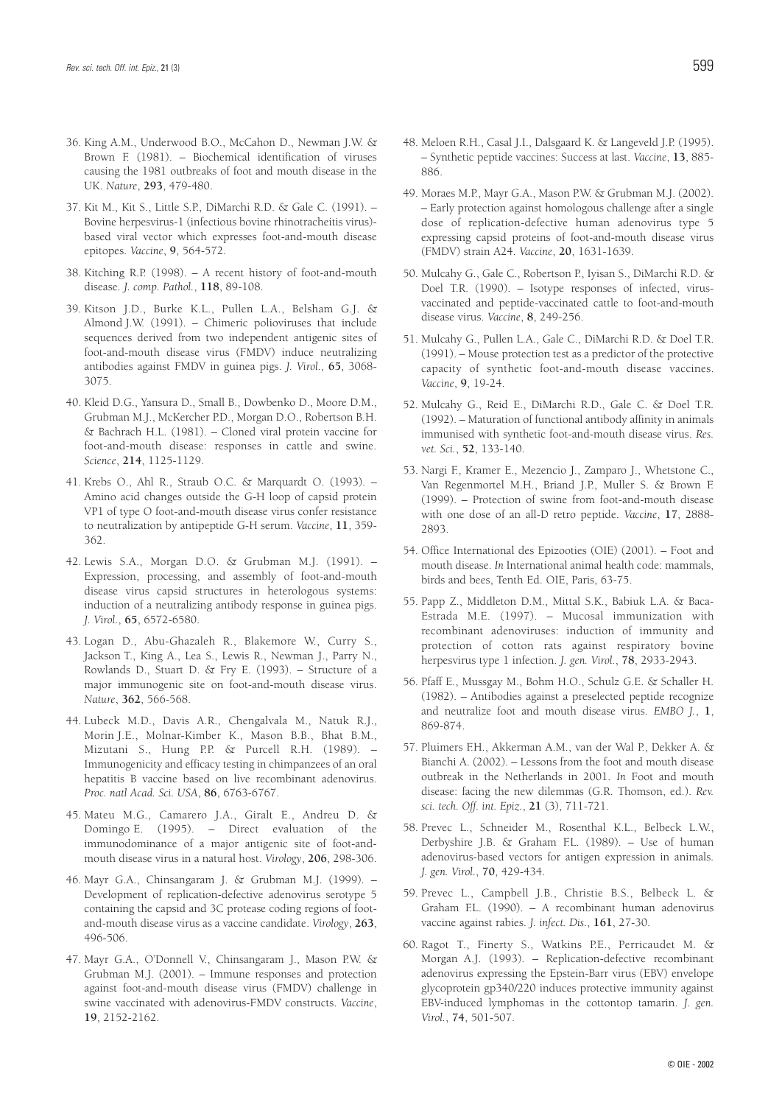- 36. King A.M., Underwood B.O., McCahon D., Newman J.W. & Brown F. (1981). – Biochemical identification of viruses causing the 1981 outbreaks of foot and mouth disease in the UK. *Nature*, **293**, 479-480.
- 37. Kit M., Kit S., Little S.P., DiMarchi R.D. & Gale C. (1991). Bovine herpesvirus-1 (infectious bovine rhinotracheitis virus) based viral vector which expresses foot-and-mouth disease epitopes. *Vaccine*, **9**, 564-572.
- 38. Kitching R.P. (1998). A recent history of foot-and-mouth disease. *J. comp. Pathol.*, **118**, 89-108.
- 39. Kitson J.D., Burke K.L., Pullen L.A., Belsham G.J. & Almond J.W. (1991). – Chimeric polioviruses that include sequences derived from two independent antigenic sites of foot-and-mouth disease virus (FMDV) induce neutralizing antibodies against FMDV in guinea pigs. *J. Virol.*, **65**, 3068- 3075.
- 40. Kleid D.G., Yansura D., Small B., Dowbenko D., Moore D.M., Grubman M.J., McKercher P.D., Morgan D.O., Robertson B.H. & Bachrach H.L. (1981). – Cloned viral protein vaccine for foot-and-mouth disease: responses in cattle and swine. *Science*, **214**, 1125-1129.
- 41. Krebs O., Ahl R., Straub O.C. & Marquardt O. (1993). Amino acid changes outside the G-H loop of capsid protein VP1 of type O foot-and-mouth disease virus confer resistance to neutralization by antipeptide G-H serum. *Vaccine*, **11**, 359- 362.
- 42. Lewis S.A., Morgan D.O. & Grubman M.J. (1991). Expression, processing, and assembly of foot-and-mouth disease virus capsid structures in heterologous systems: induction of a neutralizing antibody response in guinea pigs. *J. Virol.*, **65**, 6572-6580.
- 43. Logan D., Abu-Ghazaleh R., Blakemore W., Curry S., Jackson T., King A., Lea S., Lewis R., Newman J., Parry N., Rowlands D., Stuart D. & Fry E. (1993). – Structure of a major immunogenic site on foot-and-mouth disease virus. *Nature*, **362**, 566-568.
- 44. Lubeck M.D., Davis A.R., Chengalvala M., Natuk R.J., Morin J.E., Molnar-Kimber K., Mason B.B., Bhat B.M., Mizutani S., Hung P.P. & Purcell R.H. (1989). – Immunogenicity and efficacy testing in chimpanzees of an oral hepatitis B vaccine based on live recombinant adenovirus. *Proc. natl Acad. Sci. USA*, **86**, 6763-6767.
- 45. Mateu M.G., Camarero J.A., Giralt E., Andreu D. & Domingo E. (1995). – Direct evaluation of the immunodominance of a major antigenic site of foot-andmouth disease virus in a natural host. *Virology*, **206**, 298-306.
- 46. Mayr G.A., Chinsangaram J. & Grubman M.J. (1999). Development of replication-defective adenovirus serotype 5 containing the capsid and 3C protease coding regions of footand-mouth disease virus as a vaccine candidate. *Virology*, **263**, 496-506.
- 47. Mayr G.A., O'Donnell V., Chinsangaram J., Mason P.W. & Grubman M.J. (2001). – Immune responses and protection against foot-and-mouth disease virus (FMDV) challenge in swine vaccinated with adenovirus-FMDV constructs. *Vaccine*, **19**, 2152-2162.
- 48. Meloen R.H., Casal J.I., Dalsgaard K. & Langeveld J.P. (1995). – Synthetic peptide vaccines: Success at last. *Vaccine*, **13**, 885- 886.
- 49. Moraes M.P., Mayr G.A., Mason P.W. & Grubman M.J. (2002). – Early protection against homologous challenge after a single dose of replication-defective human adenovirus type 5 expressing capsid proteins of foot-and-mouth disease virus (FMDV) strain A24. *Vaccine*, **20**, 1631-1639.
- 50. Mulcahy G., Gale C., Robertson P., Iyisan S., DiMarchi R.D. & Doel T.R. (1990). – Isotype responses of infected, virusvaccinated and peptide-vaccinated cattle to foot-and-mouth disease virus. *Vaccine*, **8**, 249-256.
- 51. Mulcahy G., Pullen L.A., Gale C., DiMarchi R.D. & Doel T.R. (1991). – Mouse protection test as a predictor of the protective capacity of synthetic foot-and-mouth disease vaccines. *Vaccine*, **9**, 19-24.
- 52. Mulcahy G., Reid E., DiMarchi R.D., Gale C. & Doel T.R. (1992). – Maturation of functional antibody affinity in animals immunised with synthetic foot-and-mouth disease virus. *Res. vet. Sci.*, **52**, 133-140.
- 53. Nargi F., Kramer E., Mezencio J., Zamparo J., Whetstone C., Van Regenmortel M.H., Briand J.P., Muller S. & Brown F. (1999). – Protection of swine from foot-and-mouth disease with one dose of an all-D retro peptide. *Vaccine*, **17**, 2888- 2893.
- 54. Office International des Epizooties (OIE) (2001). Foot and mouth disease. *In* International animal health code: mammals, birds and bees, Tenth Ed. OIE, Paris, 63-75.
- 55. Papp Z., Middleton D.M., Mittal S.K., Babiuk L.A. & Baca-Estrada M.E. (1997). – Mucosal immunization with recombinant adenoviruses: induction of immunity and protection of cotton rats against respiratory bovine herpesvirus type 1 infection. *J. gen. Virol.*, **78**, 2933-2943.
- 56. Pfaff E., Mussgay M., Bohm H.O., Schulz G.E. & Schaller H. (1982). – Antibodies against a preselected peptide recognize and neutralize foot and mouth disease virus. *EMBO J.*, **1**, 869-874.
- 57. Pluimers F.H., Akkerman A.M., van der Wal P., Dekker A. & Bianchi A. (2002). – Lessons from the foot and mouth disease outbreak in the Netherlands in 2001. *In* Foot and mouth disease: facing the new dilemmas (G.R. Thomson, ed.). *Rev. sci. tech. Off. int. Epiz.*, **21** (3), 711-721.
- 58. Prevec L., Schneider M., Rosenthal K.L., Belbeck L.W., Derbyshire J.B. & Graham F.L. (1989). – Use of human adenovirus-based vectors for antigen expression in animals. *J. gen. Virol.*, **70**, 429-434.
- 59. Prevec L., Campbell J.B., Christie B.S., Belbeck L. & Graham F.L. (1990). – A recombinant human adenovirus vaccine against rabies. *J. infect. Dis.*, **161**, 27-30.
- 60. Ragot T., Finerty S., Watkins P.E., Perricaudet M. & Morgan A.J. (1993). – Replication-defective recombinant adenovirus expressing the Epstein-Barr virus (EBV) envelope glycoprotein gp340/220 induces protective immunity against EBV-induced lymphomas in the cottontop tamarin. *J. gen. Virol.*, **74**, 501-507.